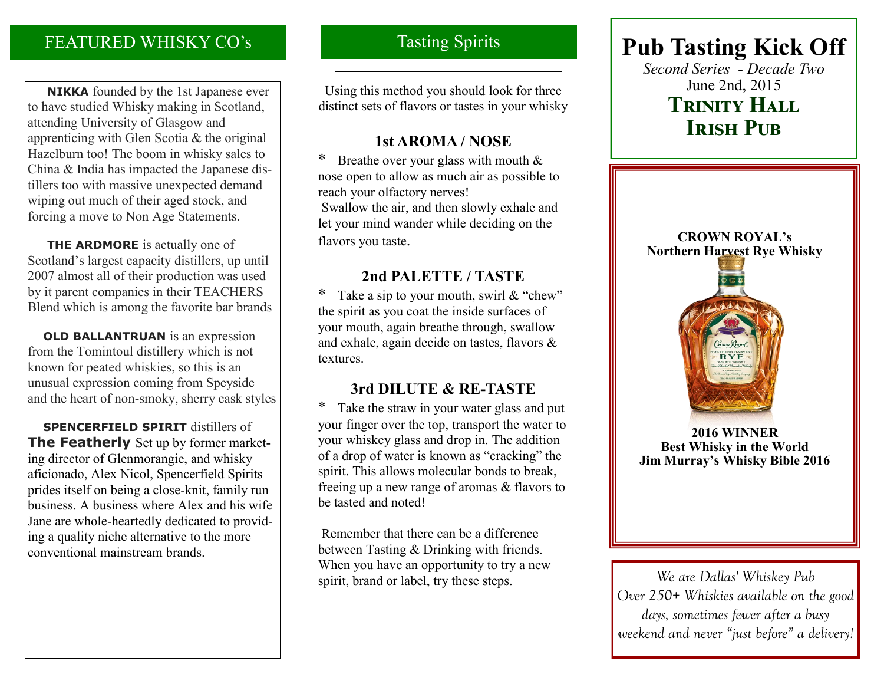# FEATURED WHISKY CO's

 **NIKKA** founded by the 1st Japanese ever to have studied Whisky making in Scotland, attending University of Glasgow and apprenticing with Glen Scotia & the original Hazelburn too! The boom in whisky sales to China & India has impacted the Japanese distillers too with massive unexpected demand wiping out much of their aged stock, and forcing a move to Non Age Statements.

**THE ARDMORE** is actually one of Scotland's largest capacity distillers, up until 2007 almost all of their production was used by it parent companies in their TEACHERS Blend which is among the favorite bar brands

**OLD BALLANTRUAN** is an expression from the Tomintoul distillery which is not known for peated whiskies, so this is an unusual expression coming from Speyside and the heart of non-smoky, sherry cask styles

 **SPENCERFIELD SPIRIT** distillers of **The Featherly** Set up by former marketing director of Glenmorangie, and whisky aficionado, Alex Nicol, Spencerfield Spirits prides itself on being a close-knit, family run business. A business where Alex and his wife Jane are whole-heartedly dedicated to providing a quality niche alternative to the more conventional mainstream brands.

# Tasting Spirits

Using this method you should look for three distinct sets of flavors or tastes in your whisky

## **1st AROMA / NOSE**

\* Breathe over your glass with mouth & nose open to allow as much air as possible to reach your olfactory nerves! Swallow the air, and then slowly exhale and let your mind wander while deciding on the flavors you taste.

## **2nd PALETTE / TASTE**

Take a sip to your mouth, swirl  $&$  "chew" the spirit as you coat the inside surfaces of your mouth, again breathe through, swallow and exhale, again decide on tastes, flavors & textures.

## **3rd DILUTE & RE-TASTE**

\* Take the straw in your water glass and put your finger over the top, transport the water to your whiskey glass and drop in. The addition of a drop of water is known as "cracking" the spirit. This allows molecular bonds to break, freeing up a new range of aromas & flavors to be tasted and noted!

Remember that there can be a difference between Tasting & Drinking with friends. When you have an opportunity to try a new spirit, brand or label, try these steps.

# **Pub Tasting Kick Off**

*Second Series - Decade Two* June 2nd, 2015 **Trinity Hall IRISH PUB** 



**2016 WINNER Best Whisky in the World Jim Murray's Whisky Bible 2016**

*We are Dallas' Whiskey Pub Over 250+ Whiskies available on the good days, sometimes fewer after a busy weekend and never "just before" a delivery!*